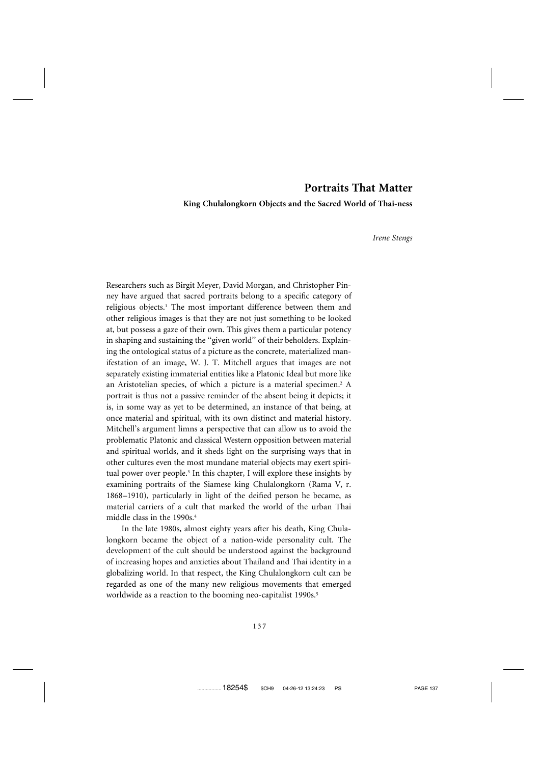# **Portraits That Matter**

**King Chulalongkorn Objects and the Sacred World of Thai-ness**

*Irene Stengs*

Researchers such as Birgit Meyer, David Morgan, and Christopher Pinney have argued that sacred portraits belong to a specific category of religious objects.<sup>1</sup> The most important difference between them and other religious images is that they are not just something to be looked at, but possess a gaze of their own. This gives them a particular potency in shaping and sustaining the ''given world'' of their beholders. Explaining the ontological status of a picture as the concrete, materialized manifestation of an image, W. J. T. Mitchell argues that images are not separately existing immaterial entities like a Platonic Ideal but more like an Aristotelian species, of which a picture is a material specimen.<sup>2</sup> A portrait is thus not a passive reminder of the absent being it depicts; it is, in some way as yet to be determined, an instance of that being, at once material and spiritual, with its own distinct and material history. Mitchell's argument limns a perspective that can allow us to avoid the problematic Platonic and classical Western opposition between material and spiritual worlds, and it sheds light on the surprising ways that in other cultures even the most mundane material objects may exert spiritual power over people.<sup>3</sup> In this chapter, I will explore these insights by examining portraits of the Siamese king Chulalongkorn (Rama V, r. 1868–1910), particularly in light of the deified person he became, as material carriers of a cult that marked the world of the urban Thai middle class in the 1990s.4

In the late 1980s, almost eighty years after his death, King Chulalongkorn became the object of a nation-wide personality cult. The development of the cult should be understood against the background of increasing hopes and anxieties about Thailand and Thai identity in a globalizing world. In that respect, the King Chulalongkorn cult can be regarded as one of the many new religious movements that emerged worldwide as a reaction to the booming neo-capitalist 1990s.<sup>5</sup>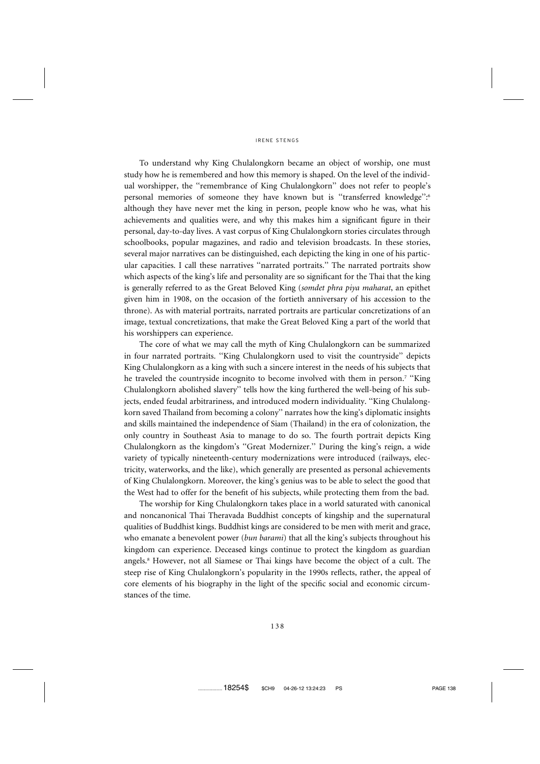To understand why King Chulalongkorn became an object of worship, one must study how he is remembered and how this memory is shaped. On the level of the individual worshipper, the ''remembrance of King Chulalongkorn'' does not refer to people's personal memories of someone they have known but is "transferred knowledge":<sup>6</sup> although they have never met the king in person, people know who he was, what his achievements and qualities were, and why this makes him a significant figure in their personal, day-to-day lives. A vast corpus of King Chulalongkorn stories circulates through schoolbooks, popular magazines, and radio and television broadcasts. In these stories, several major narratives can be distinguished, each depicting the king in one of his particular capacities. I call these narratives ''narrated portraits.'' The narrated portraits show which aspects of the king's life and personality are so significant for the Thai that the king is generally referred to as the Great Beloved King (*somdet phra piya maharat*, an epithet given him in 1908, on the occasion of the fortieth anniversary of his accession to the throne). As with material portraits, narrated portraits are particular concretizations of an image, textual concretizations, that make the Great Beloved King a part of the world that his worshippers can experience.

The core of what we may call the myth of King Chulalongkorn can be summarized in four narrated portraits. ''King Chulalongkorn used to visit the countryside'' depicts King Chulalongkorn as a king with such a sincere interest in the needs of his subjects that he traveled the countryside incognito to become involved with them in person.7 ''King Chulalongkorn abolished slavery'' tells how the king furthered the well-being of his subjects, ended feudal arbitrariness, and introduced modern individuality. ''King Chulalongkorn saved Thailand from becoming a colony'' narrates how the king's diplomatic insights and skills maintained the independence of Siam (Thailand) in the era of colonization, the only country in Southeast Asia to manage to do so. The fourth portrait depicts King Chulalongkorn as the kingdom's ''Great Modernizer.'' During the king's reign, a wide variety of typically nineteenth-century modernizations were introduced (railways, electricity, waterworks, and the like), which generally are presented as personal achievements of King Chulalongkorn. Moreover, the king's genius was to be able to select the good that the West had to offer for the benefit of his subjects, while protecting them from the bad.

The worship for King Chulalongkorn takes place in a world saturated with canonical and noncanonical Thai Theravada Buddhist concepts of kingship and the supernatural qualities of Buddhist kings. Buddhist kings are considered to be men with merit and grace, who emanate a benevolent power (*bun barami*) that all the king's subjects throughout his kingdom can experience. Deceased kings continue to protect the kingdom as guardian angels.8 However, not all Siamese or Thai kings have become the object of a cult. The steep rise of King Chulalongkorn's popularity in the 1990s reflects, rather, the appeal of core elements of his biography in the light of the specific social and economic circumstances of the time.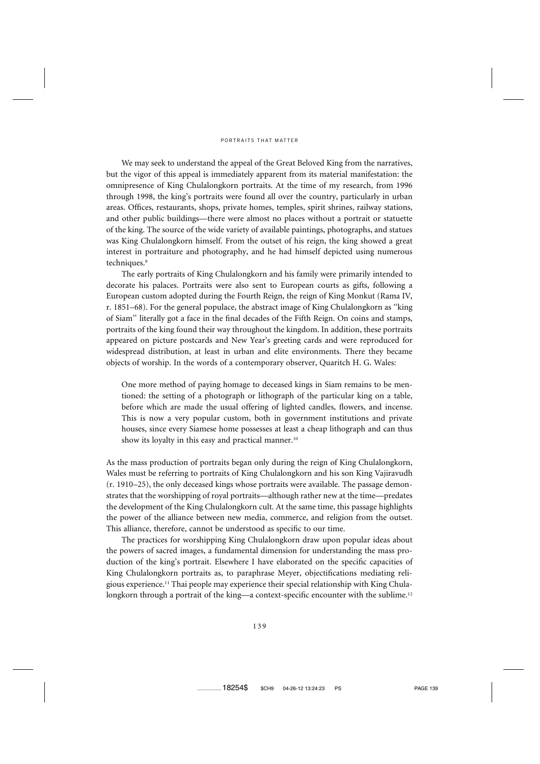We may seek to understand the appeal of the Great Beloved King from the narratives, but the vigor of this appeal is immediately apparent from its material manifestation: the omnipresence of King Chulalongkorn portraits. At the time of my research, from 1996 through 1998, the king's portraits were found all over the country, particularly in urban areas. Offices, restaurants, shops, private homes, temples, spirit shrines, railway stations, and other public buildings—there were almost no places without a portrait or statuette of the king. The source of the wide variety of available paintings, photographs, and statues was King Chulalongkorn himself. From the outset of his reign, the king showed a great interest in portraiture and photography, and he had himself depicted using numerous techniques.<sup>9</sup>

The early portraits of King Chulalongkorn and his family were primarily intended to decorate his palaces. Portraits were also sent to European courts as gifts, following a European custom adopted during the Fourth Reign, the reign of King Monkut (Rama IV, r. 1851–68). For the general populace, the abstract image of King Chulalongkorn as ''king of Siam'' literally got a face in the final decades of the Fifth Reign. On coins and stamps, portraits of the king found their way throughout the kingdom. In addition, these portraits appeared on picture postcards and New Year's greeting cards and were reproduced for widespread distribution, at least in urban and elite environments. There they became objects of worship. In the words of a contemporary observer, Quaritch H. G. Wales:

One more method of paying homage to deceased kings in Siam remains to be mentioned: the setting of a photograph or lithograph of the particular king on a table, before which are made the usual offering of lighted candles, flowers, and incense. This is now a very popular custom, both in government institutions and private houses, since every Siamese home possesses at least a cheap lithograph and can thus show its loyalty in this easy and practical manner.<sup>10</sup>

As the mass production of portraits began only during the reign of King Chulalongkorn, Wales must be referring to portraits of King Chulalongkorn and his son King Vajiravudh (r. 1910–25), the only deceased kings whose portraits were available. The passage demonstrates that the worshipping of royal portraits—although rather new at the time—predates the development of the King Chulalongkorn cult. At the same time, this passage highlights the power of the alliance between new media, commerce, and religion from the outset. This alliance, therefore, cannot be understood as specific to our time.

The practices for worshipping King Chulalongkorn draw upon popular ideas about the powers of sacred images, a fundamental dimension for understanding the mass production of the king's portrait. Elsewhere I have elaborated on the specific capacities of King Chulalongkorn portraits as, to paraphrase Meyer, objectifications mediating religious experience.11 Thai people may experience their special relationship with King Chulalongkorn through a portrait of the king—a context-specific encounter with the sublime.<sup>12</sup>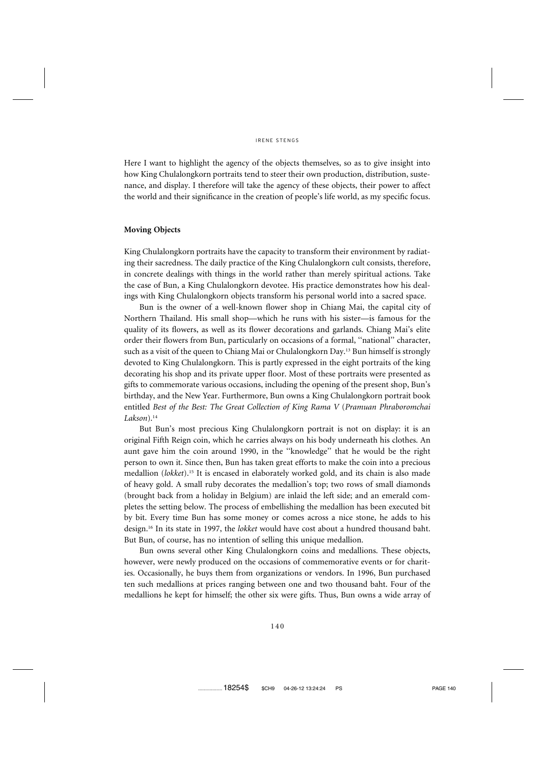Here I want to highlight the agency of the objects themselves, so as to give insight into how King Chulalongkorn portraits tend to steer their own production, distribution, sustenance, and display. I therefore will take the agency of these objects, their power to affect the world and their significance in the creation of people's life world, as my specific focus.

# **Moving Objects**

King Chulalongkorn portraits have the capacity to transform their environment by radiating their sacredness. The daily practice of the King Chulalongkorn cult consists, therefore, in concrete dealings with things in the world rather than merely spiritual actions. Take the case of Bun, a King Chulalongkorn devotee. His practice demonstrates how his dealings with King Chulalongkorn objects transform his personal world into a sacred space.

Bun is the owner of a well-known flower shop in Chiang Mai, the capital city of Northern Thailand. His small shop—which he runs with his sister—is famous for the quality of its flowers, as well as its flower decorations and garlands. Chiang Mai's elite order their flowers from Bun, particularly on occasions of a formal, ''national'' character, such as a visit of the queen to Chiang Mai or Chulalongkorn Day.<sup>13</sup> Bun himself is strongly devoted to King Chulalongkorn. This is partly expressed in the eight portraits of the king decorating his shop and its private upper floor. Most of these portraits were presented as gifts to commemorate various occasions, including the opening of the present shop, Bun's birthday, and the New Year. Furthermore, Bun owns a King Chulalongkorn portrait book entitled *Best of the Best: The Great Collection of King Rama V* (*Pramuan Phraboromchai Lakson*).14

But Bun's most precious King Chulalongkorn portrait is not on display: it is an original Fifth Reign coin, which he carries always on his body underneath his clothes. An aunt gave him the coin around 1990, in the ''knowledge'' that he would be the right person to own it. Since then, Bun has taken great efforts to make the coin into a precious medallion (*lokket*).15 It is encased in elaborately worked gold, and its chain is also made of heavy gold. A small ruby decorates the medallion's top; two rows of small diamonds (brought back from a holiday in Belgium) are inlaid the left side; and an emerald completes the setting below. The process of embellishing the medallion has been executed bit by bit. Every time Bun has some money or comes across a nice stone, he adds to his design.16 In its state in 1997, the *lokket* would have cost about a hundred thousand baht. But Bun, of course, has no intention of selling this unique medallion.

Bun owns several other King Chulalongkorn coins and medallions. These objects, however, were newly produced on the occasions of commemorative events or for charities. Occasionally, he buys them from organizations or vendors. In 1996, Bun purchased ten such medallions at prices ranging between one and two thousand baht. Four of the medallions he kept for himself; the other six were gifts. Thus, Bun owns a wide array of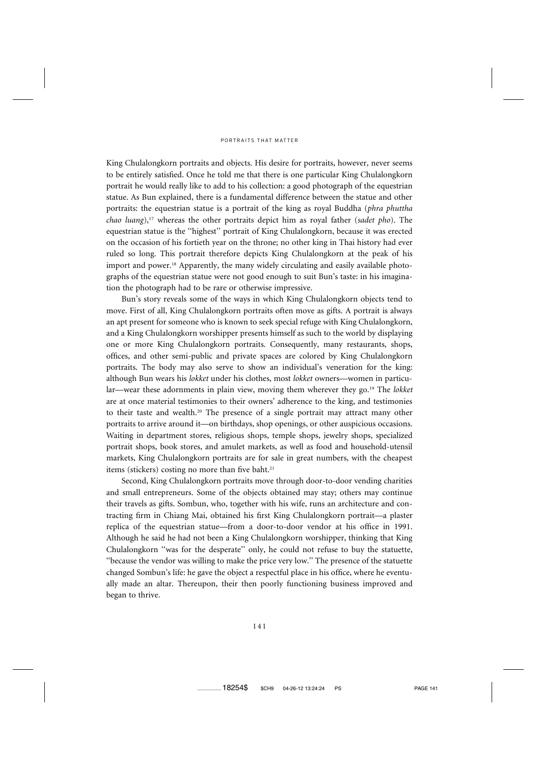King Chulalongkorn portraits and objects. His desire for portraits, however, never seems to be entirely satisfied. Once he told me that there is one particular King Chulalongkorn portrait he would really like to add to his collection: a good photograph of the equestrian statue. As Bun explained, there is a fundamental difference between the statue and other portraits: the equestrian statue is a portrait of the king as royal Buddha (*phra phuttha chao luang*),17 whereas the other portraits depict him as royal father (*sadet pho*). The equestrian statue is the ''highest'' portrait of King Chulalongkorn, because it was erected on the occasion of his fortieth year on the throne; no other king in Thai history had ever ruled so long. This portrait therefore depicts King Chulalongkorn at the peak of his import and power.<sup>18</sup> Apparently, the many widely circulating and easily available photographs of the equestrian statue were not good enough to suit Bun's taste: in his imagination the photograph had to be rare or otherwise impressive.

Bun's story reveals some of the ways in which King Chulalongkorn objects tend to move. First of all, King Chulalongkorn portraits often move as gifts. A portrait is always an apt present for someone who is known to seek special refuge with King Chulalongkorn, and a King Chulalongkorn worshipper presents himself as such to the world by displaying one or more King Chulalongkorn portraits. Consequently, many restaurants, shops, offices, and other semi-public and private spaces are colored by King Chulalongkorn portraits. The body may also serve to show an individual's veneration for the king: although Bun wears his *lokket* under his clothes, most *lokket* owners—women in particular—wear these adornments in plain view, moving them wherever they go.19 The *lokket* are at once material testimonies to their owners' adherence to the king, and testimonies to their taste and wealth.20 The presence of a single portrait may attract many other portraits to arrive around it—on birthdays, shop openings, or other auspicious occasions. Waiting in department stores, religious shops, temple shops, jewelry shops, specialized portrait shops, book stores, and amulet markets, as well as food and household-utensil markets, King Chulalongkorn portraits are for sale in great numbers, with the cheapest items (stickers) costing no more than five baht.<sup>21</sup>

Second, King Chulalongkorn portraits move through door-to-door vending charities and small entrepreneurs. Some of the objects obtained may stay; others may continue their travels as gifts. Sombun, who, together with his wife, runs an architecture and contracting firm in Chiang Mai, obtained his first King Chulalongkorn portrait—a plaster replica of the equestrian statue—from a door-to-door vendor at his office in 1991. Although he said he had not been a King Chulalongkorn worshipper, thinking that King Chulalongkorn ''was for the desperate'' only, he could not refuse to buy the statuette, ''because the vendor was willing to make the price very low.'' The presence of the statuette changed Sombun's life: he gave the object a respectful place in his office, where he eventually made an altar. Thereupon, their then poorly functioning business improved and began to thrive.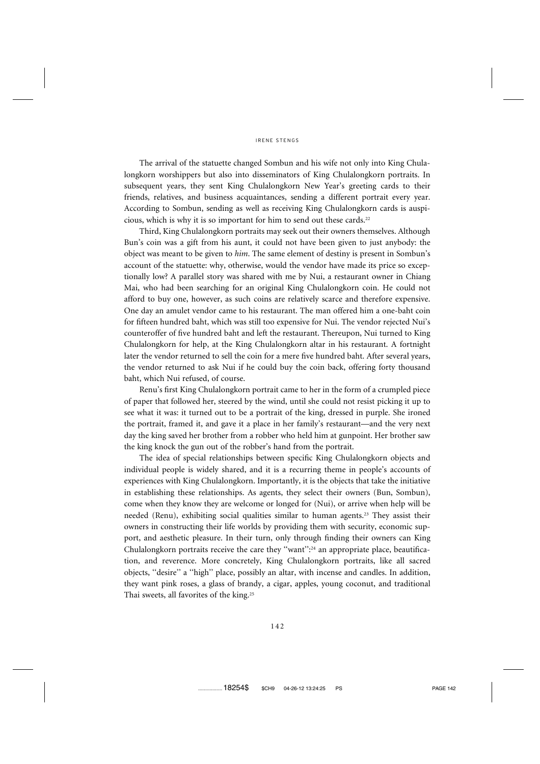The arrival of the statuette changed Sombun and his wife not only into King Chulalongkorn worshippers but also into disseminators of King Chulalongkorn portraits. In subsequent years, they sent King Chulalongkorn New Year's greeting cards to their friends, relatives, and business acquaintances, sending a different portrait every year. According to Sombun, sending as well as receiving King Chulalongkorn cards is auspicious, which is why it is so important for him to send out these cards.<sup>22</sup>

Third, King Chulalongkorn portraits may seek out their owners themselves. Although Bun's coin was a gift from his aunt, it could not have been given to just anybody: the object was meant to be given to *him*. The same element of destiny is present in Sombun's account of the statuette: why, otherwise, would the vendor have made its price so exceptionally low? A parallel story was shared with me by Nui, a restaurant owner in Chiang Mai, who had been searching for an original King Chulalongkorn coin. He could not afford to buy one, however, as such coins are relatively scarce and therefore expensive. One day an amulet vendor came to his restaurant. The man offered him a one-baht coin for fifteen hundred baht, which was still too expensive for Nui. The vendor rejected Nui's counteroffer of five hundred baht and left the restaurant. Thereupon, Nui turned to King Chulalongkorn for help, at the King Chulalongkorn altar in his restaurant. A fortnight later the vendor returned to sell the coin for a mere five hundred baht. After several years, the vendor returned to ask Nui if he could buy the coin back, offering forty thousand baht, which Nui refused, of course.

Renu's first King Chulalongkorn portrait came to her in the form of a crumpled piece of paper that followed her, steered by the wind, until she could not resist picking it up to see what it was: it turned out to be a portrait of the king, dressed in purple. She ironed the portrait, framed it, and gave it a place in her family's restaurant—and the very next day the king saved her brother from a robber who held him at gunpoint. Her brother saw the king knock the gun out of the robber's hand from the portrait.

The idea of special relationships between specific King Chulalongkorn objects and individual people is widely shared, and it is a recurring theme in people's accounts of experiences with King Chulalongkorn. Importantly, it is the objects that take the initiative in establishing these relationships. As agents, they select their owners (Bun, Sombun), come when they know they are welcome or longed for (Nui), or arrive when help will be needed (Renu), exhibiting social qualities similar to human agents.23 They assist their owners in constructing their life worlds by providing them with security, economic support, and aesthetic pleasure. In their turn, only through finding their owners can King Chulalongkorn portraits receive the care they ''want'':24 an appropriate place, beautification, and reverence. More concretely, King Chulalongkorn portraits, like all sacred objects, ''desire'' a ''high'' place, possibly an altar, with incense and candles. In addition, they want pink roses, a glass of brandy, a cigar, apples, young coconut, and traditional Thai sweets, all favorites of the king.25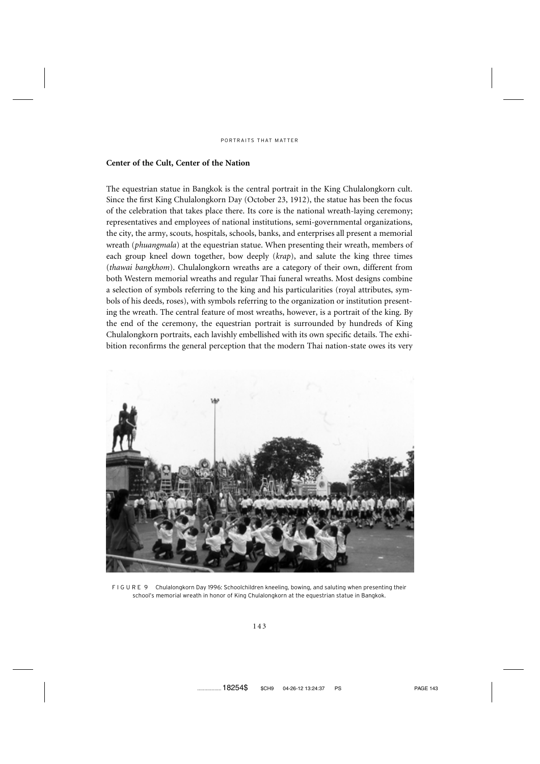# **Center of the Cult, Center of the Nation**

The equestrian statue in Bangkok is the central portrait in the King Chulalongkorn cult. Since the first King Chulalongkorn Day (October 23, 1912), the statue has been the focus of the celebration that takes place there. Its core is the national wreath-laying ceremony; representatives and employees of national institutions, semi-governmental organizations, the city, the army, scouts, hospitals, schools, banks, and enterprises all present a memorial wreath (*phuangmala*) at the equestrian statue. When presenting their wreath, members of each group kneel down together, bow deeply (*krap*), and salute the king three times (*thawai bangkhom*). Chulalongkorn wreaths are a category of their own, different from both Western memorial wreaths and regular Thai funeral wreaths. Most designs combine a selection of symbols referring to the king and his particularities (royal attributes, symbols of his deeds, roses), with symbols referring to the organization or institution presenting the wreath. The central feature of most wreaths, however, is a portrait of the king. By the end of the ceremony, the equestrian portrait is surrounded by hundreds of King Chulalongkorn portraits, each lavishly embellished with its own specific details. The exhibition reconfirms the general perception that the modern Thai nation-state owes its very



F I G U R E 9 Chulalongkorn Day 1996: Schoolchildren kneeling, bowing, and saluting when presenting their school's memorial wreath in honor of King Chulalongkorn at the equestrian statue in Bangkok.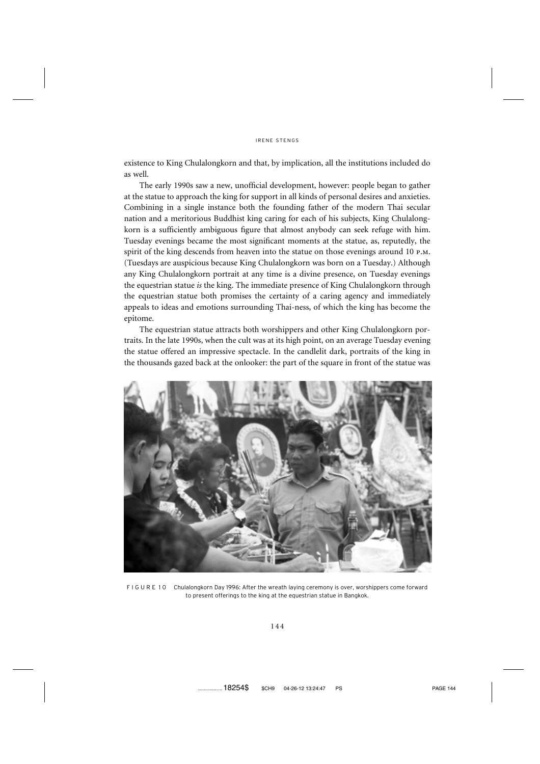existence to King Chulalongkorn and that, by implication, all the institutions included do as well.

The early 1990s saw a new, unofficial development, however: people began to gather at the statue to approach the king for support in all kinds of personal desires and anxieties. Combining in a single instance both the founding father of the modern Thai secular nation and a meritorious Buddhist king caring for each of his subjects, King Chulalongkorn is a sufficiently ambiguous figure that almost anybody can seek refuge with him. Tuesday evenings became the most significant moments at the statue, as, reputedly, the spirit of the king descends from heaven into the statue on those evenings around 10 p.m. (Tuesdays are auspicious because King Chulalongkorn was born on a Tuesday.) Although any King Chulalongkorn portrait at any time is a divine presence, on Tuesday evenings the equestrian statue *is* the king. The immediate presence of King Chulalongkorn through the equestrian statue both promises the certainty of a caring agency and immediately appeals to ideas and emotions surrounding Thai-ness, of which the king has become the epitome.

The equestrian statue attracts both worshippers and other King Chulalongkorn portraits. In the late 1990s, when the cult was at its high point, on an average Tuesday evening the statue offered an impressive spectacle. In the candlelit dark, portraits of the king in the thousands gazed back at the onlooker: the part of the square in front of the statue was



F I G U R E 10 Chulalongkorn Day 1996: After the wreath laying ceremony is over, worshippers come forward to present offerings to the king at the equestrian statue in Bangkok.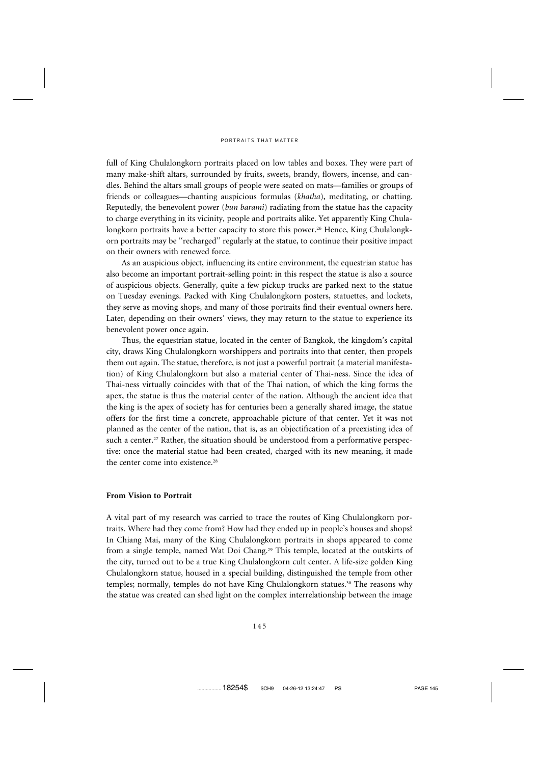full of King Chulalongkorn portraits placed on low tables and boxes. They were part of many make-shift altars, surrounded by fruits, sweets, brandy, flowers, incense, and candles. Behind the altars small groups of people were seated on mats—families or groups of friends or colleagues—chanting auspicious formulas (*khatha*), meditating, or chatting. Reputedly, the benevolent power (*bun barami*) radiating from the statue has the capacity to charge everything in its vicinity, people and portraits alike. Yet apparently King Chulalongkorn portraits have a better capacity to store this power.<sup>26</sup> Hence, King Chulalongkorn portraits may be ''recharged'' regularly at the statue, to continue their positive impact on their owners with renewed force.

As an auspicious object, influencing its entire environment, the equestrian statue has also become an important portrait-selling point: in this respect the statue is also a source of auspicious objects. Generally, quite a few pickup trucks are parked next to the statue on Tuesday evenings. Packed with King Chulalongkorn posters, statuettes, and lockets, they serve as moving shops, and many of those portraits find their eventual owners here. Later, depending on their owners' views, they may return to the statue to experience its benevolent power once again.

Thus, the equestrian statue, located in the center of Bangkok, the kingdom's capital city, draws King Chulalongkorn worshippers and portraits into that center, then propels them out again. The statue, therefore, is not just a powerful portrait (a material manifestation) of King Chulalongkorn but also a material center of Thai-ness. Since the idea of Thai-ness virtually coincides with that of the Thai nation, of which the king forms the apex, the statue is thus the material center of the nation. Although the ancient idea that the king is the apex of society has for centuries been a generally shared image, the statue offers for the first time a concrete, approachable picture of that center. Yet it was not planned as the center of the nation, that is, as an objectification of a preexisting idea of such a center.<sup>27</sup> Rather, the situation should be understood from a performative perspective: once the material statue had been created, charged with its new meaning, it made the center come into existence.<sup>28</sup>

# **From Vision to Portrait**

A vital part of my research was carried to trace the routes of King Chulalongkorn portraits. Where had they come from? How had they ended up in people's houses and shops? In Chiang Mai, many of the King Chulalongkorn portraits in shops appeared to come from a single temple, named Wat Doi Chang.<sup>29</sup> This temple, located at the outskirts of the city, turned out to be a true King Chulalongkorn cult center. A life-size golden King Chulalongkorn statue, housed in a special building, distinguished the temple from other temples; normally, temples do not have King Chulalongkorn statues.<sup>30</sup> The reasons why the statue was created can shed light on the complex interrelationship between the image

.................18254\$ \$CH9 04-26-12 13:24:47 PS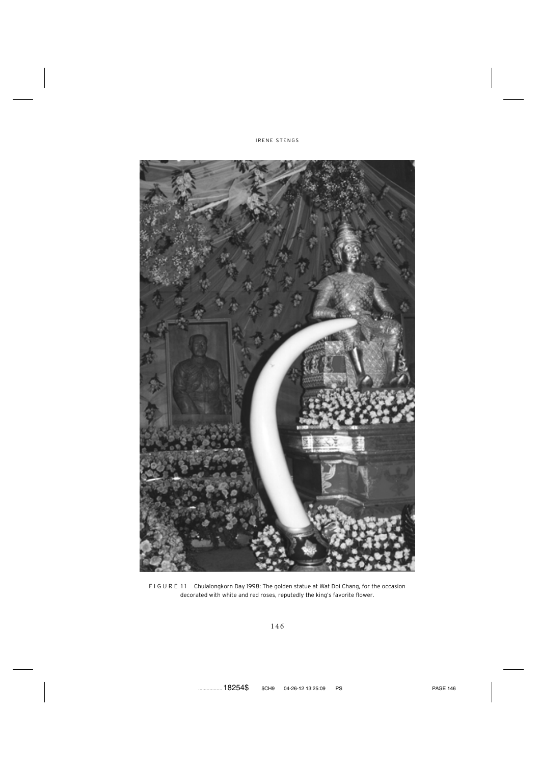



F I G U R E 11 Chulalongkorn Day 1998: The golden statue at Wat Doi Chang, for the occasion decorated with white and red roses, reputedly the king's favorite flower.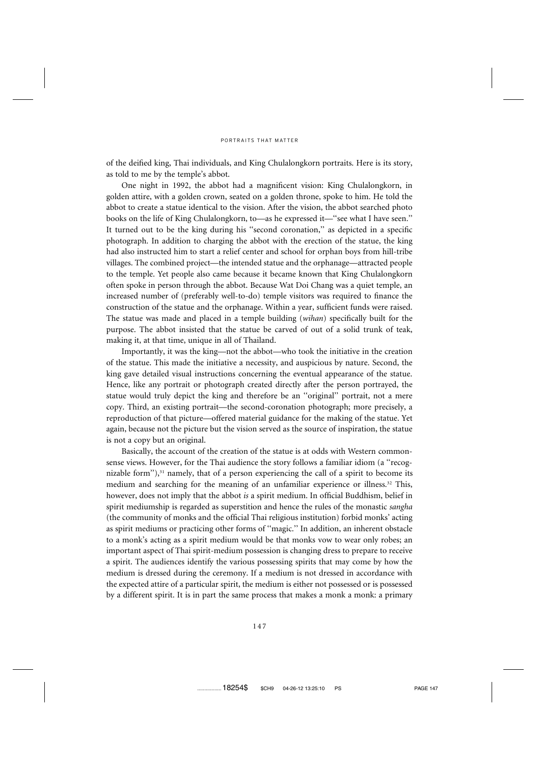of the deified king, Thai individuals, and King Chulalongkorn portraits. Here is its story, as told to me by the temple's abbot.

One night in 1992, the abbot had a magnificent vision: King Chulalongkorn, in golden attire, with a golden crown, seated on a golden throne, spoke to him. He told the abbot to create a statue identical to the vision. After the vision, the abbot searched photo books on the life of King Chulalongkorn, to—as he expressed it—''see what I have seen.'' It turned out to be the king during his ''second coronation,'' as depicted in a specific photograph. In addition to charging the abbot with the erection of the statue, the king had also instructed him to start a relief center and school for orphan boys from hill-tribe villages. The combined project—the intended statue and the orphanage—attracted people to the temple. Yet people also came because it became known that King Chulalongkorn often spoke in person through the abbot. Because Wat Doi Chang was a quiet temple, an increased number of (preferably well-to-do) temple visitors was required to finance the construction of the statue and the orphanage. Within a year, sufficient funds were raised. The statue was made and placed in a temple building (*wihan*) specifically built for the purpose. The abbot insisted that the statue be carved of out of a solid trunk of teak, making it, at that time, unique in all of Thailand.

Importantly, it was the king—not the abbot—who took the initiative in the creation of the statue. This made the initiative a necessity, and auspicious by nature. Second, the king gave detailed visual instructions concerning the eventual appearance of the statue. Hence, like any portrait or photograph created directly after the person portrayed, the statue would truly depict the king and therefore be an ''original'' portrait, not a mere copy. Third, an existing portrait—the second-coronation photograph; more precisely, a reproduction of that picture—offered material guidance for the making of the statue. Yet again, because not the picture but the vision served as the source of inspiration, the statue is not a copy but an original.

Basically, the account of the creation of the statue is at odds with Western commonsense views. However, for the Thai audience the story follows a familiar idiom (a ''recognizable form"), $31$  namely, that of a person experiencing the call of a spirit to become its medium and searching for the meaning of an unfamiliar experience or illness.32 This, however, does not imply that the abbot *is* a spirit medium. In official Buddhism, belief in spirit mediumship is regarded as superstition and hence the rules of the monastic *sangha* (the community of monks and the official Thai religious institution) forbid monks' acting as spirit mediums or practicing other forms of ''magic.'' In addition, an inherent obstacle to a monk's acting as a spirit medium would be that monks vow to wear only robes; an important aspect of Thai spirit-medium possession is changing dress to prepare to receive a spirit. The audiences identify the various possessing spirits that may come by how the medium is dressed during the ceremony. If a medium is not dressed in accordance with the expected attire of a particular spirit, the medium is either not possessed or is possessed by a different spirit. It is in part the same process that makes a monk a monk: a primary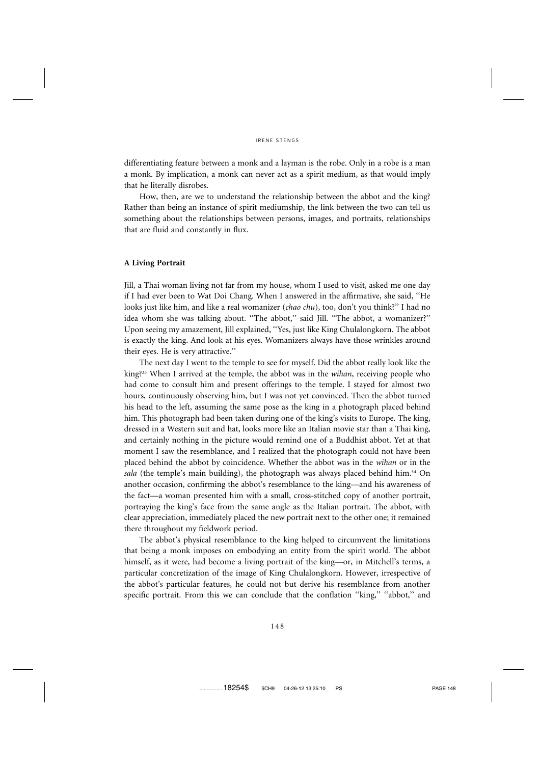differentiating feature between a monk and a layman is the robe. Only in a robe is a man a monk. By implication, a monk can never act as a spirit medium, as that would imply that he literally disrobes.

How, then, are we to understand the relationship between the abbot and the king? Rather than being an instance of spirit mediumship, the link between the two can tell us something about the relationships between persons, images, and portraits, relationships that are fluid and constantly in flux.

# **A Living Portrait**

Jill, a Thai woman living not far from my house, whom I used to visit, asked me one day if I had ever been to Wat Doi Chang. When I answered in the affirmative, she said, ''He looks just like him, and like a real womanizer (*chao chu*), too, don't you think?'' I had no idea whom she was talking about. ''The abbot,'' said Jill. ''The abbot, a womanizer?'' Upon seeing my amazement, Jill explained, ''Yes, just like King Chulalongkorn. The abbot is exactly the king. And look at his eyes. Womanizers always have those wrinkles around their eyes. He is very attractive.''

The next day I went to the temple to see for myself. Did the abbot really look like the king?33 When I arrived at the temple, the abbot was in the *wihan*, receiving people who had come to consult him and present offerings to the temple. I stayed for almost two hours, continuously observing him, but I was not yet convinced. Then the abbot turned his head to the left, assuming the same pose as the king in a photograph placed behind him. This photograph had been taken during one of the king's visits to Europe. The king, dressed in a Western suit and hat, looks more like an Italian movie star than a Thai king, and certainly nothing in the picture would remind one of a Buddhist abbot. Yet at that moment I saw the resemblance, and I realized that the photograph could not have been placed behind the abbot by coincidence. Whether the abbot was in the *wihan* or in the sala (the temple's main building), the photograph was always placed behind him.<sup>34</sup> On another occasion, confirming the abbot's resemblance to the king—and his awareness of the fact—a woman presented him with a small, cross-stitched copy of another portrait, portraying the king's face from the same angle as the Italian portrait. The abbot, with clear appreciation, immediately placed the new portrait next to the other one; it remained there throughout my fieldwork period.

The abbot's physical resemblance to the king helped to circumvent the limitations that being a monk imposes on embodying an entity from the spirit world. The abbot himself, as it were, had become a living portrait of the king—or, in Mitchell's terms, a particular concretization of the image of King Chulalongkorn. However, irrespective of the abbot's particular features, he could not but derive his resemblance from another specific portrait. From this we can conclude that the conflation "king," "abbot," and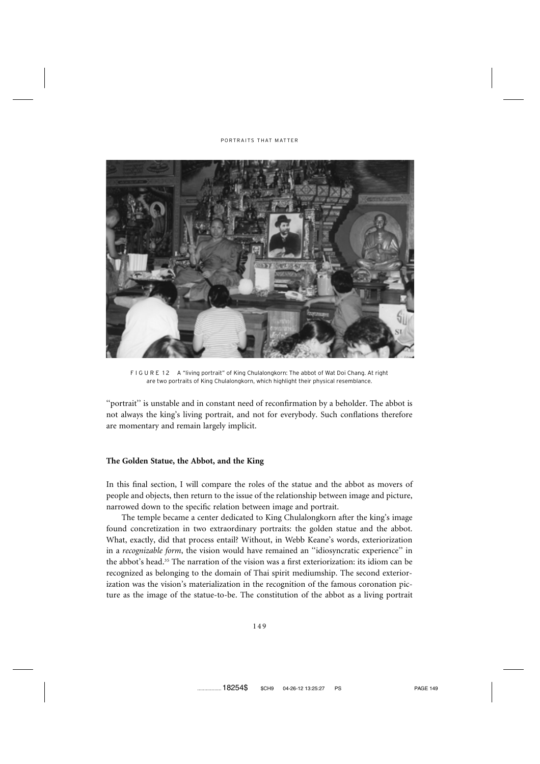

F I G U R E 12 A "living portrait" of King Chulalongkorn: The abbot of Wat Doi Chang. At right are two portraits of King Chulalongkorn, which highlight their physical resemblance.

"portrait" is unstable and in constant need of reconfirmation by a beholder. The abbot is not always the king's living portrait, and not for everybody. Such conflations therefore are momentary and remain largely implicit.

# **The Golden Statue, the Abbot, and the King**

In this final section, I will compare the roles of the statue and the abbot as movers of people and objects, then return to the issue of the relationship between image and picture, narrowed down to the specific relation between image and portrait.

The temple became a center dedicated to King Chulalongkorn after the king's image found concretization in two extraordinary portraits: the golden statue and the abbot. What, exactly, did that process entail? Without, in Webb Keane's words, exteriorization in a *recognizable form*, the vision would have remained an ''idiosyncratic experience'' in the abbot's head.35 The narration of the vision was a first exteriorization: its idiom can be recognized as belonging to the domain of Thai spirit mediumship. The second exteriorization was the vision's materialization in the recognition of the famous coronation picture as the image of the statue-to-be. The constitution of the abbot as a living portrait

.................18254\$ \$CH9 04-26-12 13:25:27 PS